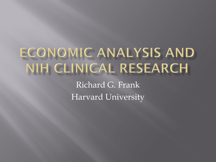## ECONOMIC ANALYSIS AND NIH CLINICAL RESEARCH

Richard G. Frank Harvard University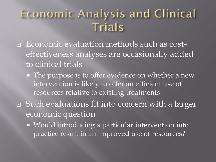#### **Economic Analysis and Clinical** Trials

- effectiveness analyses are occasionally added Economic evaluation methods such as costto clinical trials
	- **The purpose is to offer evidence on whether a new**  intervention is likely to offer an efficient use of resources relative to existing treatments
- □ Such evaluations fit into concern with a larger economic question
	- **Would introducing a particular intervention into** practice result in an improved use of resources?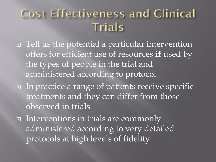#### **Cost Effectiveness and Clinical** Trials

- □ Tell us the potential a particular intervention the types of people in the trial and offers for efficient use of resources **if** used by administered according to protocol
- **□** In practice a range of patients receive specific treatments and they can differ from those observed in trials
- **□** Interventions in trials are commonly administered according to very detailed protocols at high levels of fidelity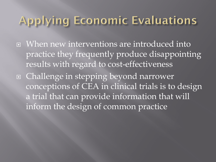#### **Applying Economic Evaluations**

- When new interventions are introduced into practice they frequently produce disappointing results with regard to cost-effectiveness
- □ Challenge in stepping beyond narrower conceptions of CEA in clinical trials is to design a trial that can provide information that will inform the design of common practice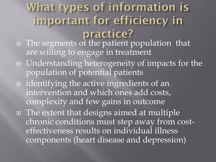# What types of information is important for efficiency in

- The segments of the patient population that are willing to engage in treatment
- Understanding heterogeneity of impacts for the population of potential patients
- intervention and which ones add costs, identifying the active ingredients of an complexity and few gains in outcome
- chronic conditions must step away from cost-□ The extent that designs aimed at multiple effectiveness results on individual illness components (heart disease and depression)